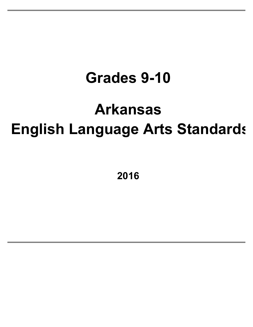# **Grades 9-10**

# **Arkansas English Language Arts Standards**

**2016**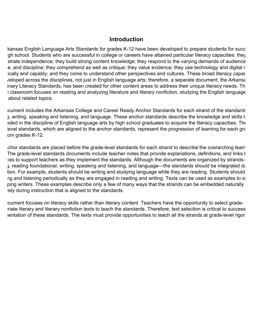#### **Introduction**

kansas English Language Arts Standards for grades K-12 have been developed to prepare students for succ gh school. Students who are successful in college or careers have attained particular literacy capacities: they strate independence; they build strong content knowledge; they respond to the varying demands of audience e, and discipline; they comprehend as well as critique; they value evidence; they use technology and digital r ically and capably; and they come to understand other perspectives and cultures. These broad literacy capaciti veloped across the disciplines, not just in English language arts; therefore, a separate document, the Arkansa inary Literacy Standards, has been created for other content areas to address their unique literacy needs. Th I classroom focuses on reading and analyzing literature and literary nonfiction, studying the English language about related topics.

cument includes the Arkansas College and Career Ready Anchor Standards for each strand of the standards: ), writing, speaking and listening, and language. These anchor standards describe the knowledge and skills that aded in the discipline of English language arts by high school graduates to acquire the literacy capacities. The level standards, which are aligned to the anchor standards, represent the progression of learning for each gra om grades K-12.

ichor standards are placed before the grade-level standards for each strand to describe the overarching learn The grade-level standards documents include teacher notes that provide explanations, definitions, and links t res to support teachers as they implement the standards. Although the documents are organized by strandsreading, reading foundational, writing, speaking and listening, and language—the standards should be integrated during tion. For example, students should be writing and studying language while they are reading. Students should ng and listening periodically as they are engaged in reading and writing. Texts can be used as examples to support ping writers. These examples describe only a few of many ways that the strands can be embedded naturally ely during instruction that is aligned to the standards.

Cument focuses on literacy skills rather than literary content. Teachers have the opportunity to select graderiate literary and literary nonfiction texts to teach the standards. Therefore, text selection is critical to success ientation of these standards. The texts must provide opportunities to teach all the strands at grade-level rigor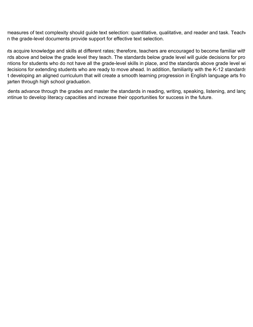measures of text complexity should guide text selection: quantitative, qualitative, and reader and task. Teache n the grade-level documents provide support for effective text selection.

its acquire knowledge and skills at different rates; therefore, teachers are encouraged to become familiar with rds above and below the grade level they teach. The standards below grade level will guide decisions for pro ntions for students who do not have all the grade-level skills in place, and the standards above grade level wi lecisions for extending students who are ready to move ahead. In addition, familiarity with the K-12 standards t developing an aligned curriculum that will create a smooth learning progression in English language arts fro jarten through high school graduation.

dents advance through the grades and master the standards in reading, writing, speaking, listening, and lang ontinue to develop literacy capacities and increase their opportunities for success in the future.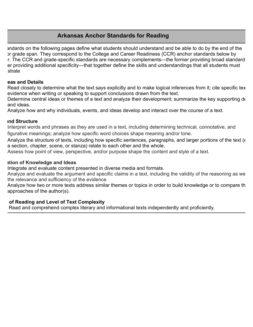# **Arkansas Anchor Standards for Reading**

andards on the following pages define what students should understand and be able to do by the end of the or grade span. They correspond to the College and Career Readiness (CCR) anchor standards below by r. The CCR and grade-specific standards are necessary complements—the former providing broad standards er providing additional specificity—that together define the skills and understandings that all students must strate

#### **Ras and Details**

Read closely to determine what the text says explicitly and to make logical inferences from it; cite specific tex evidence when writing or speaking to support conclusions drawn from the text.

Determine central ideas or themes of a text and analyze their development; summarize the key supporting de and ideas.

Analyze how and why individuals, events, and ideas develop and interact over the course of a text.

#### **Craft and Structure**

Interpret words and phrases as they are used in a text, including determining technical, connotative, and figurative meanings; analyze how specific word choices shape meaning and/or tone.

Analyze the structure of texts, including how specific sentences, paragraphs, and larger portions of the text  $(\epsilon)$ a section, chapter, scene, or stanza) relate to each other and the whole.

Assess how point of view, perspective, and/or purpose shape the content and style of a text.

#### **Integration of Knowledge and Ideas**

Integrate and evaluate content presented in diverse media and formats.

Analyze and evaluate the argument and specific claims in a text, including the validity of the reasoning as we the relevance and sufficiency of the evidence

Analyze how two or more texts address similar themes or topics in order to build knowledge or to compare th approaches of the author(s).

#### **Range of Reading and Level of Text Complexity**

Read and comprehend complex literary and informational texts independently and proficiently.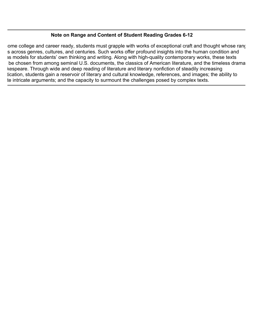#### **Note on Range and Content of Student Reading Grades 6-12**

ome college and career ready, students must grapple with works of exceptional craft and thought whose range s across genres, cultures, and centuries. Such works offer profound insights into the human condition and as models for students' own thinking and writing. Along with high-quality contemporary works, these texts be chosen from among seminal U.S. documents, the classics of American literature, and the timeless drama kespeare. Through wide and deep reading of literature and literary nonfiction of steadily increasing lication, students gain a reservoir of literary and cultural knowledge, references, and images; the ability to te intricate arguments; and the capacity to surmount the challenges posed by complex texts.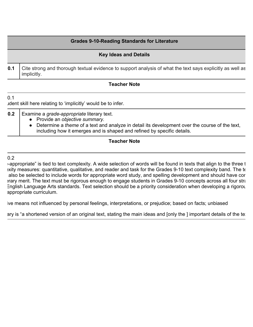#### **Grades 9-10-Reading Standards for Literature**

# **Key Ideas and Details 0.1** Cite strong and thorough textual evidence to support analysis of what the text says explicitly as well as implicitly.

#### **Teacher Note**

I dent skill here relating to 'implicitly' would be to infer.

**0.2** | Examine a *grade-appropriate* literary text.

- Provide an *objective summary.*
- Determine a *theme* of a text and analyze in detail its development over the course of the text, including how it emerges and is shaped and refined by specific details.

#### **Teacher Note**

#### $0.2$

 $0.1$ 

 $\rightarrow$  appropriate" is tied to text complexity. A wide selection of words will be found in texts that align to the three t exity measures: quantitative, qualitative, and reader and task for the Grades 9-10 text complexity band. The te also be selected to include words for appropriate word study, and spelling development and should have cortent and literary merit. The text must be rigorous enough to engage students in Grades 9-10 concepts across all four stra English Language Arts standards. Text selection should be a priority consideration when developing a rigorous appropriate curriculum.

ive means not influenced by personal feelings, interpretations, or prejudice; based on facts; unbiased

ary is "a shortened version of an original text, stating the main ideas and [only the ] important details of the te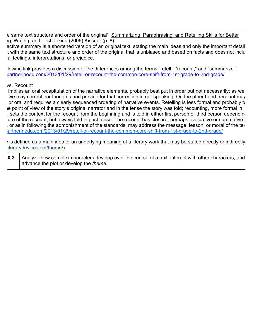e same text structure and order of the original" Summarizing, Paraphrasing, and Retelling Skills for Better Ig, Writing, and Test Taking (2006) Kissner (p. 8).

ective summary is a shortened version of an original text, stating the main ideas and only the important details t with the same text structure and order of the original that is unbiased and based on facts and does not inclu al feelings, interpretations, or prejudice.

Iowing link provides a discussion of the differences among the terms "retell," "recount," and "summarize": (absort perinedu.com/2013/01/29/retell-or-recount-the-common-core-shift-from-1st-grade-to-2nd-grade/

#### vs. Recount

implies an oral recapitulation of the narrative elements, probably best put in order but not necessarily; as we we may correct our thoughts and provide for that correction in our speaking. On the other hand, recount may or oral and requires a clearly sequenced ordering of narrative events. Retelling is less formal and probably to e point of view of the story's original narrator and in the tense the story was told; recounting, more formal in sets the context for the recount from the beginning and is told in either first person or third person depending ture of the recount, but always told in past tense. The recount has closure, perhaps evaluative or summative i or as in following the admonishment of the standards, may address the message, lesson, or moral of the text. artnerinedu.com/2013/01/29/retell-or-recount-the-common-core-shift-from-1st-grade-to-2nd-grade/

 $\pm$  is defined as a main idea or an underlying meaning of a literary work that may be stated directly or indirectly iterarydevices.net/theme/).

| <b>0.3</b> Analyze how complex characters develop over the course of a text, interact with other characters, and |
|------------------------------------------------------------------------------------------------------------------|
| advance the plot or develop the <i>theme</i> .                                                                   |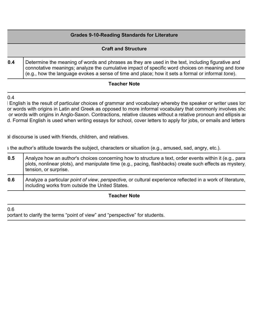#### **Grades 9-10-Reading Standards for Literature**

|     | <b>Craft and Structure</b>                                                                                                                                                                                                                                                                                 |
|-----|------------------------------------------------------------------------------------------------------------------------------------------------------------------------------------------------------------------------------------------------------------------------------------------------------------|
| 0.4 | Determine the meaning of words and phrases as they are used in the text, including figurative and<br>connotative meanings; analyze the cumulative impact of specific word choices on meaning and tone<br>(e.g., how the language evokes a sense of time and place; how it sets a formal or informal tone). |

#### **Teacher Note**

 $0.4$ 

I English is the result of particular choices of grammar and vocabulary whereby the speaker or writer uses lon or words with origins in Latin and Greek as opposed to more informal vocabulary that commonly involves sho or words with origins in Anglo-Saxon. Contractions, relative clauses without a relative pronoun and ellipsis ar d. Formal English is used when writing essays for school, cover letters to apply for jobs, or emails and letters

al discourse is used with friends, children, and relatives.

s the author's attitude towards the subject, characters or situation (e.g., amused, sad, angry, etc.).

| 0.5 | Analyze how an author's choices concerning how to structure a text, order events within it (e.g., para<br>plots, nonlinear plots), and manipulate time (e.g., pacing, flashbacks) create such effects as mystery.<br>tension, or surprise. |
|-----|--------------------------------------------------------------------------------------------------------------------------------------------------------------------------------------------------------------------------------------------|
| 0.6 | Analyze a particular point of view, perspective, or cultural experience reflected in a work of literature,<br>including works from outside the United States.                                                                              |

#### **Teacher Note**

 $0.6$ 

portant to clarify the terms "point of view" and "perspective" for students.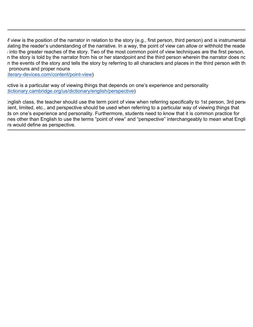If view is the position of the narrator in relation to the story (e.g., first person, third person) and is instrumental lating the reader's understanding of the narrative. In a way, the point of view can allow or withhold the reader  $\frac{1}{2}$  into the greater reaches of the story. Two of the most common point of view techniques are the first person, n the story is told by the narrator from his or her standpoint and the third person wherein the narrator does no n the events of the story and tells the story by referring to all characters and places in the third person with th pronouns and proper nouns

iterary-devices.com/content/point-view)

ective is a particular way of viewing things that depends on one's experience and personality dictionary.cambridge.org/us/dictionary/english/perspective)

Inglish class, the teacher should use the term point of view when referring specifically to 1st person, 3rd person ient, limited, etc., and perspective should be used when referring to a particular way of viewing things that Is on one's experience and personality. Furthermore, students need to know that it is common practice for nes other than English to use the terms "point of view" and "perspective" interchangeably to mean what Engli rs would define as perspective.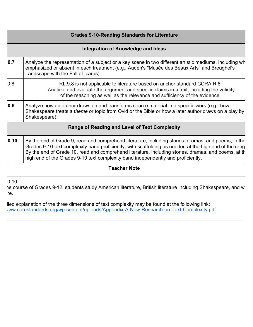|      | <b>Grades 9-10-Reading Standards for Literature</b>                                                                                                                                                                                                                                                                                                                                                      |  |
|------|----------------------------------------------------------------------------------------------------------------------------------------------------------------------------------------------------------------------------------------------------------------------------------------------------------------------------------------------------------------------------------------------------------|--|
|      | Integration of Knowledge and Ideas                                                                                                                                                                                                                                                                                                                                                                       |  |
| 0.7  | Analyze the representation of a subject or a key scene in two different artistic mediums, including wh<br>emphasized or absent in each treatment (e.g., Auden's "Musée des Beaux Arts" and Breughel's<br>Landscape with the Fall of Icarus).                                                                                                                                                             |  |
| 0.8  | RL.9.8 is not applicable to literature based on anchor standard CCRA.R.8.<br>Analyze and evaluate the argument and specific claims in a text, including the validity<br>of the reasoning as well as the relevance and sufficiency of the evidence.                                                                                                                                                       |  |
| 0.9  | Analyze how an author draws on and transforms source material in a specific work (e.g., how<br>Shakespeare treats a theme or topic from Ovid or the Bible or how a later author draws on a play by<br>Shakespeare).                                                                                                                                                                                      |  |
|      | <b>Range of Reading and Level of Text Complexity</b>                                                                                                                                                                                                                                                                                                                                                     |  |
| 0.10 | By the end of Grade 9, read and comprehend literature, including stories, dramas, and poems, in the<br>Grades 9-10 text complexity band proficiently, with scaffolding as needed at the high end of the range<br>By the end of Grade 10, read and comprehend literature, including stories, dramas, and poems, at th<br>high end of the Grades 9-10 text complexity band independently and proficiently. |  |

0.10

le course of Grades 9-12, students study American literature, British literature including Shakespeare, and wo re.

lled explanation of the three dimensions of text complexity may be found at the following link: http://ww.corestandards.org/wp-content/uploads/Appendix-A-New-Research-on-Text-Complexity.pdf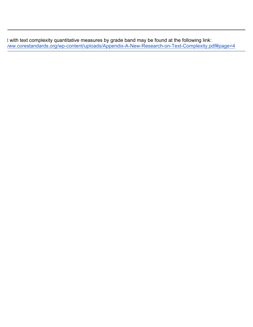t with text complexity quantitative measures by grade band may be found at the following link: http://ww.corestandards.org/wp-content/uploads/Appendix-A-New-Research-on-Text-Complexity.pdf#page=4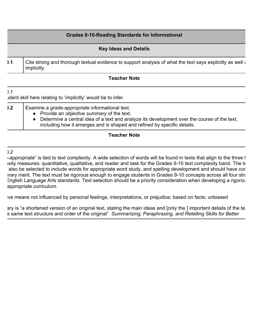|    | <b>Grades 9-10-Reading Standards for Informational</b>                                                                  |
|----|-------------------------------------------------------------------------------------------------------------------------|
|    | <b>Key Ideas and Details</b>                                                                                            |
| .1 | Cite strong and thorough textual evidence to support analysis of what the text says explicitly as well a<br>implicitly. |
|    | <b>Teacher Note</b>                                                                                                     |

 $\overline{)1}$ I dent skill here relating to 'implicitly' would be to infer.

| ).2 | Examine a grade-appropriate informational text.                                                                                                                        |
|-----|------------------------------------------------------------------------------------------------------------------------------------------------------------------------|
|     | • Provide an objective summary of the text.                                                                                                                            |
|     | Determine a central idea of a text and analyze its development over the course of the text,<br>including how it emerges and is shaped and refined by specific details. |

#### **Teacher Note**

#### $).2$

 $\epsilon$ -appropriate" is tied to text complexity. A wide selection of words will be found in texts that align to the three t exity measures: quantitative, qualitative, and reader and task for the Grades 9-10 text complexity band. The te also be selected to include words for appropriate word study, and spelling development and should have cor and iterary merit. The text must be rigorous enough to engage students in Grades 9-10 concepts across all four stra English Language Arts standards. Text selection should be a priority consideration when developing a rigorous appropriate curriculum.

ive means not influenced by personal feelings, interpretations, or prejudice; based on facts; unbiased

ary is "a shortened version of an original text, stating the main ideas and [only the ] important details of the text e same text structure and order of the original" *Summarizing, Paraphrasing, and Retelling Skills for Better*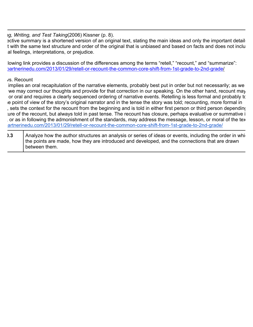*Ig, Writing, and Test Taking(2006) Kissner (p. 8).* 

ective summary is a shortened version of an original text, stating the main ideas and only the important details t with the same text structure and order of the original that is unbiased and based on facts and does not inclu al feelings, interpretations, or prejudice.

Iowing link provides a discussion of the differences among the terms "retell," "recount," and "summarize": )artnerinedu.com/2013/01/29/retell-or-recount-the-common-core-shift-from-1st-grade-to-2nd-grade/

#### vs. Recount

implies an oral recapitulation of the narrative elements, probably best put in order but not necessarily; as we we may correct our thoughts and provide for that correction in our speaking. On the other hand, recount may or oral and requires a clearly sequenced ordering of narrative events. Retelling is less formal and probably to e point of view of the story's original narrator and in the tense the story was told; recounting, more formal in , sets the context for the recount from the beginning and is told in either first person or third person depending ture of the recount, but always told in past tense. The recount has closure, perhaps evaluative or summative i or as in following the admonishment of the standards, may address the message, lesson, or moral of the text. artnerinedu.com/2013/01/29/retell-or-recount-the-common-core-shift-from-1st-grade-to-2nd-grade/

**RICED 1.3** Analyze how the author structures an analysis or series of ideas or events, including the order in which the points are made, how they are introduced and developed, and the connections that are drawn between them.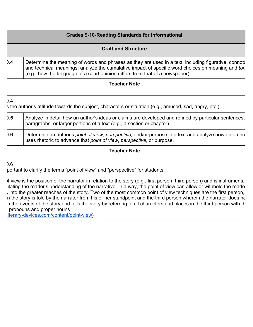|    | <b>Grades 9-10-Reading Standards for Informational</b>                                                                                                                                                                                                                                       |
|----|----------------------------------------------------------------------------------------------------------------------------------------------------------------------------------------------------------------------------------------------------------------------------------------------|
|    | <b>Craft and Structure</b>                                                                                                                                                                                                                                                                   |
| .4 | Determine the meaning of words and phrases as they are used in a text, including figurative, connotary<br>and technical meanings; analyze the cumulative impact of specific word choices on meaning and ton<br>(e.g., how the language of a court opinion differs from that of a newspaper). |

 $\overline{)4}$ 

s the author's attitude towards the subject, characters or situation (e.g., amused, sad, angry, etc.).

| ).5 | Analyze in detail how an author's ideas or claims are developed and refined by particular sentences,<br>paragraphs, or larger portions of a text (e.g., a section or chapter). |
|-----|--------------------------------------------------------------------------------------------------------------------------------------------------------------------------------|
| .6  | Determine an author's point of view, perspective, and/or purpose in a text and analyze how an autho<br>uses rhetoric to advance that point of view, perspective, or purpose.   |

#### **Teacher Note**

 $0.6$ 

portant to clarify the terms "point of view" and "perspective" for students.

If view is the position of the narrator in relation to the story (e.g., first person, third person) and is instrumental lating the reader's understanding of the narrative. In a way, the point of view can allow or withhold the reader into the greater reaches of the story. Two of the most common point of view techniques are the first person, n the story is told by the narrator from his or her standpoint and the third person wherein the narrator does no n the events of the story and tells the story by referring to all characters and places in the third person with th pronouns and proper nouns

iterary-devices.com/content/point-view)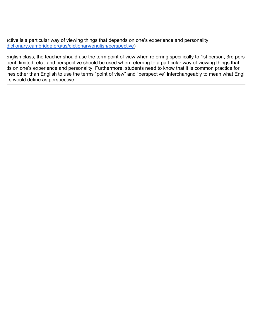ective is a particular way of viewing things that depends on one's experience and personality dictionary.cambridge.org/us/dictionary/english/perspective)

Inglish class, the teacher should use the term point of view when referring specifically to 1st person, 3rd person ient, limited, etc., and perspective should be used when referring to a particular way of viewing things that Is on one's experience and personality. Furthermore, students need to know that it is common practice for nes other than English to use the terms "point of view" and "perspective" interchangeably to mean what Engli rs would define as perspective.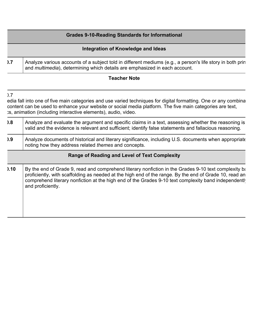# **Grades 9-10-Reading Standards for Informational Integration of Knowledge and Ideas RI.7** Analyze various accounts of a subject told in different mediums (e.g., a person's life story in both prin and *multimedia*), determining which details are emphasized in each account.

#### **Teacher Note**

 $).7$ 

edia fall into one of five main categories and use varied techniques for digital formatting. One or any combina content can be used to enhance your website or social media platform. The five main categories are text, es, animation (including interactive elements), audio, video.

| 0.8  | Analyze and evaluate the argument and specific claims in a text, assessing whether the reasoning is<br>valid and the evidence is relevant and sufficient; identify false statements and fallacious reasoning.                                                                                                                               |
|------|---------------------------------------------------------------------------------------------------------------------------------------------------------------------------------------------------------------------------------------------------------------------------------------------------------------------------------------------|
| .9   | Analyze documents of historical and literary significance, including U.S. documents when appropriate<br>noting how they address related themes and concepts.                                                                                                                                                                                |
|      | <b>Range of Reading and Level of Text Complexity</b>                                                                                                                                                                                                                                                                                        |
| 0.10 | By the end of Grade 9, read and comprehend literary nonfiction in the Grades 9-10 text complexity ba<br>proficiently, with scaffolding as needed at the high end of the range. By the end of Grade 10, read an<br>comprehend literary nonfiction at the high end of the Grades 9-10 text complexity band independently<br>and proficiently. |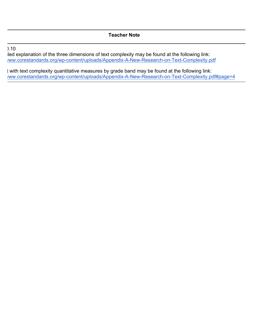#### $0.10$

iled explanation of the three dimensions of text complexity may be found at the following link: /ww.corestandards.org/wp-content/uploads/Appendix-A-New-Research-on-Text-Complexity.pdf

t with text complexity quantitative measures by grade band may be found at the following link: /ww.corestandards.org/wp-content/uploads/Appendix-A-New-Research-on-Text-Complexity.pdf#page=4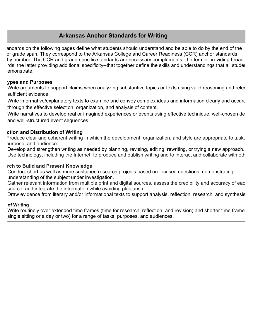# **Arkansas Anchor Standards for Writing**

andards on the following pages define what students should understand and be able to do by the end of the or grade span. They correspond to the Arkansas College and Career Readiness (CCR) anchor standards by number. The CCR and grade-specific standards are necessary complements--the former providing broad rds, the latter providing additional specificity--that together define the skills and understandings that all studer emonstrate.

#### **These** and Purposes

Write arguments to support claims when analyzing substantive topics or texts using valid reasoning and releval sufficient evidence.

Write informative/explanatory texts to examine and convey complex ideas and information clearly and accurately through the effective selection, organization, and analysis of content.

Write narratives to develop real or imagined experiences or events using effective technique, well-chosen det and well-structured event sequences.

#### **Production and Distribution of Writing**

Produce clear and coherent writing in which the development, organization, and style are appropriate to task, purpose, and audience.

Develop and strengthen writing as needed by planning, revising, editing, rewriting, or trying a new approach. Use technology, including the Internet, to produce and publish writing and to interact and collaborate with oth

#### **rch to Build and Present Knowledge**

7. Conduct short as well as more sustained research projects based on focused questions, demonstrating understanding of the subject under investigation.

Gather relevant information from multiple print and digital sources, assess the credibility and accuracy of eac source, and integrate the information while avoiding plagiarism.

Draw evidence from literary and/or informational texts to support analysis, reflection, research, and synthesis.

#### *<u>of Writing</u>*

Write routinely over extended time frames (time for research, reflection, and revision) and shorter time frames single sitting or a day or two) for a range of tasks, purposes, and audiences.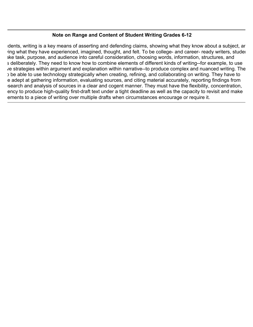#### **Note on Range and Content of Student Writing Grades 6-12**

Idents, writing is a key means of asserting and defending claims, showing what they know about a subject, ard ring what they have experienced, imagined, thought, and felt. To be college- and career- ready writers, student ake task, purpose, and audience into careful consideration, choosing words, information, structures, and s deliberately. They need to know how to combine elements of different kinds of writing--for example, to use ve strategies within argument and explanation within narrative--to produce complex and nuanced writing. The need to be able to use technology strategically when creating, refining, and collaborating on writing. They have to e adept at gathering information, evaluating sources, and citing material accurately, reporting findings from search and analysis of sources in a clear and cogent manner. They must have the flexibility, concentration, ency to produce high-quality first-draft text under a tight deadline as well as the capacity to revisit and make ements to a piece of writing over multiple drafts when circumstances encourage or require it.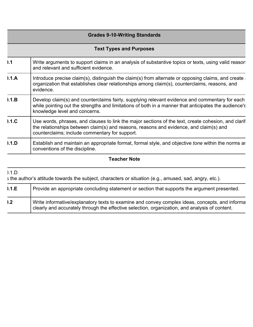| <b>Grades 9-10-Writing Standards</b>                                                                                                                                                                                                            |  |  |
|-------------------------------------------------------------------------------------------------------------------------------------------------------------------------------------------------------------------------------------------------|--|--|
| <b>Text Types and Purposes</b>                                                                                                                                                                                                                  |  |  |
| Write arguments to support claims in an analysis of substantive topics or texts, using valid reason<br>and relevant and sufficient evidence.                                                                                                    |  |  |
| Introduce precise claim(s), distinguish the claim(s) from alternate or opposing claims, and create<br>organization that establishes clear relationships among claim(s), counterclaims, reasons, and<br>evidence.                                |  |  |
| Develop claim(s) and counterclaims fairly, supplying relevant evidence and commentary for each<br>while pointing out the strengths and limitations of both in a manner that anticipates the audience's<br>knowledge level and concerns.         |  |  |
| Use words, phrases, and clauses to link the major sections of the text, create cohesion, and clarif<br>the relationships between claim(s) and reasons, reasons and evidence, and claim(s) and<br>counterclaims; include commentary for support. |  |  |
| Establish and maintain an appropriate format, formal style, and objective <i>tone</i> within the norms ar<br>conventions of the discipline.                                                                                                     |  |  |
|                                                                                                                                                                                                                                                 |  |  |

## $0.1.D$

s the author's attitude towards the subject, characters or situation (e.g., amused, sad, angry, etc.).

| 0.1.E | Provide an appropriate concluding statement or section that supports the argument presented.                                                                                                     |
|-------|--------------------------------------------------------------------------------------------------------------------------------------------------------------------------------------------------|
| .2    | Write informative/explanatory texts to examine and convey complex ideas, concepts, and informa<br>clearly and accurately through the effective selection, organization, and analysis of content. |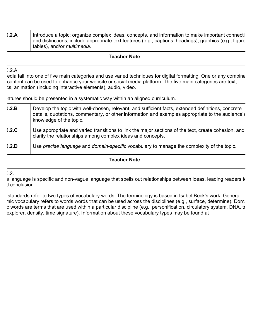| 0.2.A | Introduce a topic; organize complex ideas, concepts, and information to make important connection      |
|-------|--------------------------------------------------------------------------------------------------------|
|       | and distinctions; include appropriate text features (e.g., captions, headings), graphics (e.g., figure |
|       | tables), and/or <i>multimedia</i> .                                                                    |

#### $0.2.A$

edia fall into one of five main categories and use varied techniques for digital formatting. One or any combina content can be used to enhance your website or social media platform. The five main categories are text,  $x<sub>s</sub>$ , animation (including interactive elements), audio, video.

atures should be presented in a systematic way within an aligned curriculum.

| 0.2.B | Develop the topic with well-chosen, relevant, and sufficient facts, extended definitions, concrete<br>details, quotations, commentary, or other information and examples appropriate to the audience's<br>knowledge of the topic. |
|-------|-----------------------------------------------------------------------------------------------------------------------------------------------------------------------------------------------------------------------------------|
| 0.2.C | Use appropriate and varied transitions to link the major sections of the text, create cohesion, and<br>clarify the relationships among complex ideas and concepts.                                                                |
| 0.2.D | Use precise language and domain-specific vocabulary to manage the complexity of the topic.                                                                                                                                        |

#### **Teacher Note**

 $|2|$ 

e language is specific and non-vague language that spells out relationships between ideas, leading readers to d conclusion.

standards refer to two types of vocabulary words. The terminology is based in Isabel Beck's work. General nic vocabulary refers to words words that can be used across the disciplines (e.g., surface, determine). Domai s words are terms that are used within a particular discipline (e.g., personification, circulatory system, DNA, tr explorer, density, time signature). Information about these vocabulary types may be found at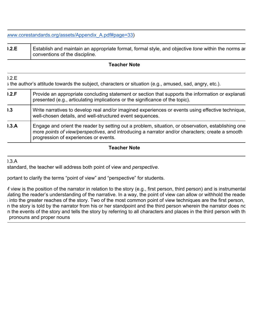www.corestandards.org/assets/Appendix\_A.pdf#page=33)

| 0.2.E | Establish and maintain an appropriate format, formal style, and objective tone within the norms ar |
|-------|----------------------------------------------------------------------------------------------------|
|       | I conventions of the discipline.                                                                   |

#### **Teacher Note**

## s the author's attitude towards the subject, characters or situation (e.g., amused, sad, angry, etc.).

| 0.2.F | Provide an appropriate concluding statement or section that supports the information or explanati<br>presented (e.g., articulating implications or the significance of the topic).                                                             |
|-------|------------------------------------------------------------------------------------------------------------------------------------------------------------------------------------------------------------------------------------------------|
| .3    | Write narratives to develop real and/or imagined experiences or events using effective technique,<br>well-chosen details, and well-structured event sequences.                                                                                 |
| 1.3.A | Engage and orient the reader by setting out a problem, situation, or observation, establishing one<br>more points of view/perspectives, and introducing a narrator and/or characters; create a smooth<br>progression of experiences or events. |

#### **Teacher Note**

 $3A$ 

 $0.2<sub>E</sub>$ 

standard, the teacher will address both point of view and *perspective*.

portant to clarify the terms "point of view" and "perspective" for students.

If view is the position of the narrator in relation to the story (e.g., first person, third person) and is instrumental lating the reader's understanding of the narrative. In a way, the point of view can allow or withhold the reader  $\frac{1}{2}$  into the greater reaches of the story. Two of the most common point of view techniques are the first person, n the story is told by the narrator from his or her standpoint and the third person wherein the narrator does no n the events of the story and tells the story by referring to all characters and places in the third person with th pronouns and proper nouns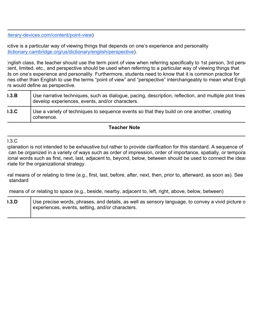iterary-devices.com/content/point-view)

ective is a particular way of viewing things that depends on one's experience and personality dictionary.cambridge.org/us/dictionary/english/perspective).

inglish class, the teacher should use the term point of view when referring specifically to 1st person, 3rd person ient, limited, etc., and perspective should be used when referring to a particular way of viewing things that Is on one's experience and personality. Furthermore, students need to know that it is common practice for nes other than English to use the terms "point of view" and "perspective" interchangeably to mean what Engli rs would define as perspective.

| 1.3.B | Use narrative techniques, such as dialogue, pacing, description, reflection, and multiple plot lines<br>develop experiences, events, and/or characters. |
|-------|---------------------------------------------------------------------------------------------------------------------------------------------------------|
| 1.3.C | Use a variety of techniques to sequence events so that they build on one another, creating<br>coherence.                                                |

#### **Teacher Note**

 $0.3<sub>c</sub>$ 

cplanation is not intended to be exhaustive but rather to provide clarification for this standard. A sequence of can be organized in a variety of ways such as order of impression, order of importance, spatially, or temporal ional words such as first, next, last, adjacent to, beyond, below, between should be used to connect the ideas riate for the organizational strategy.

ral means of or relating to time (e.g., first, last, before, after, next, then, prior to, afterward, as soon as). See standard

means of or relating to space (e.g., beside, nearby, adjacent to, left, right, above, below, between)

| 1.3.D | Use precise words, phrases, and details, as well as sensory language, to convey a vivid picture o<br>experiences, events, setting, and/or characters. |
|-------|-------------------------------------------------------------------------------------------------------------------------------------------------------|
|       |                                                                                                                                                       |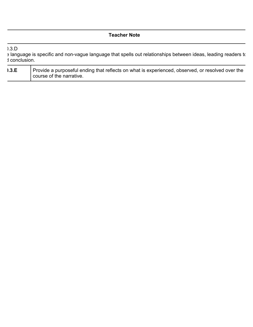|                                   | <b>Teacher Note</b>                                                                                                          |
|-----------------------------------|------------------------------------------------------------------------------------------------------------------------------|
| 0.3 <sub>0</sub><br>d conclusion. | E language is specific and non-vague language that spells out relationships between ideas, leading readers to                |
| 0.3.E                             | Provide a purposeful ending that reflects on what is experienced, observed, or resolved over the<br>course of the narrative. |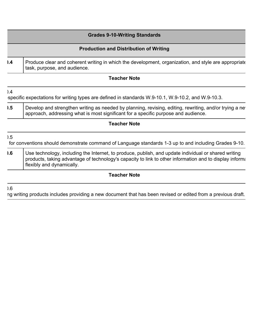|     | <b>Grades 9-10-Writing Standards</b>                                                                                                                                                                                                             |
|-----|--------------------------------------------------------------------------------------------------------------------------------------------------------------------------------------------------------------------------------------------------|
|     | <b>Production and Distribution of Writing</b>                                                                                                                                                                                                    |
| .4  | Produce clear and coherent writing in which the development, organization, and style are appropriate<br>task, purpose, and audience.                                                                                                             |
|     | <b>Teacher Note</b>                                                                                                                                                                                                                              |
| 0.4 | specific expectations for writing types are defined in standards W.9-10.1, W.9-10.2, and W.9-10.3.                                                                                                                                               |
| .5  | Develop and strengthen writing as needed by planning, revising, editing, rewriting, and/or trying a net<br>approach, addressing what is most significant for a specific purpose and audience.                                                    |
|     | <b>Teacher Note</b>                                                                                                                                                                                                                              |
| 0.5 | for conventions should demonstrate command of Language standards 1-3 up to and including Grades 9-10.                                                                                                                                            |
| .6  | Use technology, including the Internet, to produce, publish, and update individual or shared writing<br>products, taking advantage of technology's capacity to link to other information and to display information<br>flexibly and dynamically. |
|     |                                                                                                                                                                                                                                                  |

ng writing products includes providing a new document that has been revised or edited from a previous draft.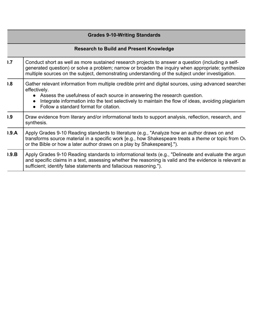|                                                | <b>Grades 9-10-Writing Standards</b>                                                                                                                                                                                                                                                                                                                |  |
|------------------------------------------------|-----------------------------------------------------------------------------------------------------------------------------------------------------------------------------------------------------------------------------------------------------------------------------------------------------------------------------------------------------|--|
| <b>Research to Build and Present Knowledge</b> |                                                                                                                                                                                                                                                                                                                                                     |  |
| .7                                             | Conduct short as well as more sustained research projects to answer a question (including a self-<br>generated question) or solve a problem; narrow or broaden the inquiry when appropriate; synthesize<br>multiple sources on the subject, demonstrating understanding of the subject under investigation.                                         |  |
| 0.8                                            | Gather relevant information from multiple credible print and digital sources, using advanced searches<br>effectively.<br>• Assess the usefulness of each source in answering the research question.<br>Integrate information into the text selectively to maintain the flow of ideas, avoiding plagiarism<br>Follow a standard format for citation. |  |
| .9                                             | Draw evidence from literary and/or informational texts to support analysis, reflection, research, and<br>synthesis.                                                                                                                                                                                                                                 |  |
| 0.9.A                                          | Apply Grades 9-10 Reading standards to literature (e.g., "Analyze how an author draws on and<br>transforms source material in a specific work [e.g., how Shakespeare treats a theme or topic from Ov<br>or the Bible or how a later author draws on a play by Shakespeare].").                                                                      |  |
| 0.9.B                                          | Apply Grades 9-10 Reading standards to informational texts (e.g., "Delineate and evaluate the argun<br>and specific claims in a text, assessing whether the reasoning is valid and the evidence is relevant and<br>sufficient; identify false statements and fallacious reasoning.").                                                               |  |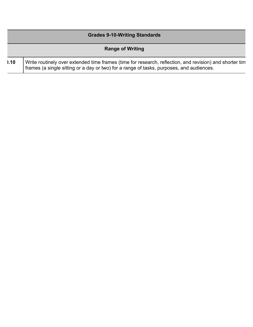| <b>Grades 9-10-Writing Standards</b> |                                                                                                                                                                                                     |
|--------------------------------------|-----------------------------------------------------------------------------------------------------------------------------------------------------------------------------------------------------|
| <b>Range of Writing</b>              |                                                                                                                                                                                                     |
| 0.10                                 | Write routinely over extended time frames (time for research, reflection, and revision) and shorter tim<br>frames (a single sitting or a day or two) for a range of tasks, purposes, and audiences. |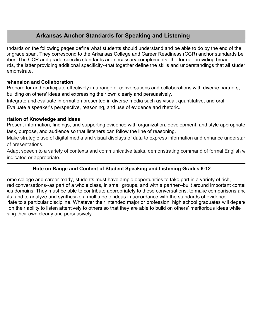# **Arkansas Anchor Standards for Speaking and Listening**

Indards on the following pages define what students should understand and be able to do by the end of the In grade span. They correspond to the Arkansas College and Career Readiness (CCR) anchor standards below iber. The CCR and grade-specific standards are necessary complements--the former providing broad rds, the latter providing additional specificity--that together define the skills and understandings that all studer emonstrate.

#### **Collaboration and Collaboration**

Prepare for and participate effectively in a range of conversations and collaborations with diverse partners, building on others' ideas and expressing their own clearly and persuasively.

Integrate and evaluate information presented in diverse media such as visual, quantitative, and oral. Evaluate a speaker's perspective, reasoning, and use of evidence and rhetoric.

#### **Presentation of Knowledge and Ideas**

Present information, findings, and supporting evidence with organization, development, and style appropriate task, purpose, and audience so that listeners can follow the line of reasoning.

Make strategic use of digital media and visual displays of data to express information and enhance understar of presentations.

Adapt speech to a variety of contexts and communicative tasks, demonstrating command of formal English w indicated or appropriate.

#### **Note on Range and Content of Student Speaking and Listening Grades 6-12**

ome college and career ready, students must have ample opportunities to take part in a variety of rich, red conversations--as part of a whole class, in small groups, and with a partner--built around important conter jus domains. They must be able to contribute appropriately to these conversations, to make comparisons and its, and to analyze and synthesize a multitude of ideas in accordance with the standards of evidence riate to a particular discipline. Whatever their intended major or profession, high school graduates will depend on their ability to listen attentively to others so that they are able to build on others' meritorious ideas while sing their own clearly and persuasively.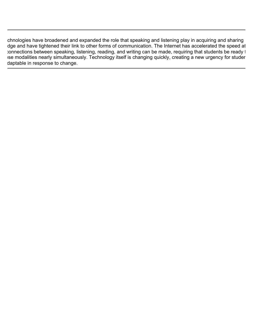chnologies have broadened and expanded the role that speaking and listening play in acquiring and sharing dge and have tightened their link to other forms of communication. The Internet has accelerated the speed at connections between speaking, listening, reading, and writing can be made, requiring that students be ready to e modalities nearly simultaneously. Technology itself is changing quickly, creating a new urgency for studers daptable in response to change.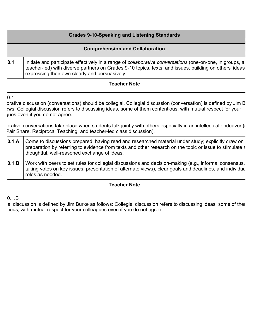# **Grades 9-10-Speaking and Listening Standards Comprehension and Collaboration 0.1** | Initiate and participate effectively in a range of *collaborative conversations* (one-on-one, in groups, and teacher-led) with diverse partners on Grades 9-10 topics, texts, and issues, building on others' ideas expressing their own clearly and persuasively.

#### **Teacher Note**

 $0.1$ 

prative discussion (conversations) should be collegial. Collegial discussion (conversation) is defined by Jim B ws: Collegial discussion refers to discussing ideas, some of them contentious, with mutual respect for your jues even if you do not agree.

prative conversations take place when students talk jointly with others especially in an intellectual endeavor  $(\ell)$ Pair Share, Reciprocal Teaching, and teacher-led class discussion).

| 0.1.A   Come to discussions prepared, having read and researched material under study; explicitly draw on<br>preparation by referring to evidence from texts and other research on the topic or issue to stimulate a<br>thoughtful, well-reasoned exchange of ideas. |
|----------------------------------------------------------------------------------------------------------------------------------------------------------------------------------------------------------------------------------------------------------------------|
| 0.1.B   Work with peers to set rules for collegial discussions and decision-making (e.g., informal consensus,<br>taking votes on key issues, presentation of alternate views), clear goals and deadlines, and individua<br>roles as needed.                          |

#### **Teacher Note**

 $0.1B$ 

al discussion is defined by Jim Burke as follows: Collegial discussion refers to discussing ideas, some of ther tious, with mutual respect for your colleagues even if you do not agree.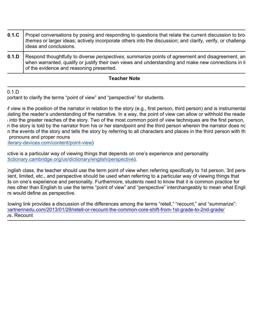| 0.1.C | Propel conversations by posing and responding to questions that relate the current discussion to bro<br>themes or larger ideas; actively incorporate others into the discussion; and clarify, verify, or challenge<br>ideas and conclusions.                |
|-------|-------------------------------------------------------------------------------------------------------------------------------------------------------------------------------------------------------------------------------------------------------------|
| 0.1.D | Respond thoughtfully to diverse <i>perspectives</i> , summarize points of agreement and disagreement, an<br>when warranted, qualify or justify their own views and understanding and make new connections in li<br>of the evidence and reasoning presented. |

#### $0.1D$

portant to clarify the terms "point of view" and "perspective" for students.

If view is the position of the narrator in relation to the story (e.g., first person, third person) and is instrumental lating the reader's understanding of the narrative. In a way, the point of view can allow or withhold the reader  $\beta$  into the greater reaches of the story. Two of the most common point of view techniques are the first person, n the story is told by the narrator from his or her standpoint and the third person wherein the narrator does no n the events of the story and tells the story by referring to all characters and places in the third person with th pronouns and proper nouns

iterary-devices.com/content/point-view)

ective is a particular way of viewing things that depends on one's experience and personality dictionary.cambridge.org/us/dictionary/english/perspective).

inglish class, the teacher should use the term point of view when referring specifically to 1st person, 3rd person ient, limited, etc., and perspective should be used when referring to a particular way of viewing things that Is on one's experience and personality. Furthermore, students need to know that it is common practice for nes other than English to use the terms "point of view" and "perspective" interchangeably to mean what Engli rs would define as perspective.

Iowing link provides a discussion of the differences among the terms "retell," "recount," and "summarize": (a) partnerinedu.com/2013/01/29/retell-or-recount-the-common-core-shift-from-1st-grade-to-2nd-grade vs. Recount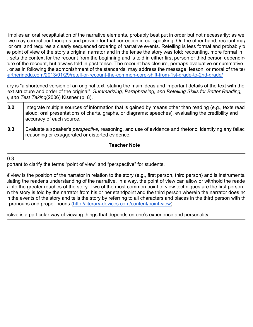implies an oral recapitulation of the narrative elements, probably best put in order but not necessarily; as we we may correct our thoughts and provide for that correction in our speaking. On the other hand, recount may or oral and requires a clearly sequenced ordering of narrative events. Retelling is less formal and probably to e point of view of the story's original narrator and in the tense the story was told; recounting, more formal in sets the context for the recount from the beginning and is told in either first person or third person depending ture of the recount, but always told in past tense. The recount has closure, perhaps evaluative or summative i or as in following the admonishment of the standards, may address the message, lesson, or moral of the text. artnerinedu.com/2013/01/29/retell-or-recount-the-common-core-shift-from-1st-grade-to-2nd-grade/

ary is "a shortened version of an original text, stating the main ideas and important details of the text with the ext structure and order of the original" Summarizing, Paraphrasing, and Retelling Skills for Better Reading, *v*, and Test Taking(2006) Kissner (p. 8).

| 0.2 | Integrate multiple sources of information that is gained by means other than reading (e.g., texts read<br>aloud; oral presentations of charts, graphs, or diagrams; speeches), evaluating the credibility and<br>accuracy of each source. |
|-----|-------------------------------------------------------------------------------------------------------------------------------------------------------------------------------------------------------------------------------------------|
| 0.3 | Evaluate a speaker's perspective, reasoning, and use of evidence and rhetoric, identifying any fallaci<br>reasoning or exaggerated or distorted evidence.                                                                                 |

#### **Teacher Note**

 $0.3$ 

portant to clarify the terms "point of view" and "perspective" for students.

If view is the position of the narrator in relation to the story (e.g., first person, third person) and is instrumental lating the reader's understanding of the narrative. In a way, the point of view can allow or withhold the reader  $\frac{1}{2}$  into the greater reaches of the story. Two of the most common point of view techniques are the first person, n the story is told by the narrator from his or her standpoint and the third person wherein the narrator does no n the events of the story and tells the story by referring to all characters and places in the third person with th pronouns and proper nouns (http://literary-devices.com/content/point-view).

ective is a particular way of viewing things that depends on one's experience and personality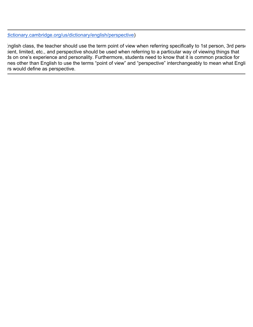dictionary.cambridge.org/us/dictionary/english/perspective)

inglish class, the teacher should use the term point of view when referring specifically to 1st person, 3rd person ient, limited, etc., and perspective should be used when referring to a particular way of viewing things that Is on one's experience and personality. Furthermore, students need to know that it is common practice for nes other than English to use the terms "point of view" and "perspective" interchangeably to mean what Engli rs would define as perspective.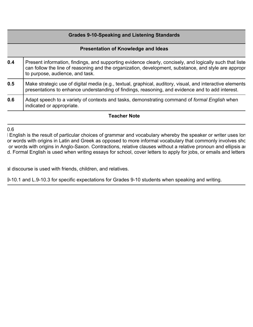#### **Grades 9-10-Speaking and Listening Standards**

#### **Presentation of Knowledge and Ideas**

| 0.4 | Present information, findings, and supporting evidence clearly, concisely, and logically such that liste<br>can follow the line of reasoning and the organization, development, substance, and style are appropr<br>to purpose, audience, and task. |
|-----|-----------------------------------------------------------------------------------------------------------------------------------------------------------------------------------------------------------------------------------------------------|
| 0.5 | Make strategic use of digital media (e.g., textual, graphical, auditory, visual, and interactive elements<br>presentations to enhance understanding of findings, reasoning, and evidence and to add interest.                                       |
| 0.6 | Adapt speech to a variety of contexts and tasks, demonstrating command of formal English when<br>indicated or appropriate.                                                                                                                          |

#### **Teacher Note**

 $0.6$ 

I English is the result of particular choices of grammar and vocabulary whereby the speaker or writer uses lon or words with origins in Latin and Greek as opposed to more informal vocabulary that commonly involves sho or words with origins in Anglo-Saxon. Contractions, relative clauses without a relative pronoun and ellipsis ar d. Formal English is used when writing essays for school, cover letters to apply for jobs, or emails and letters

al discourse is used with friends, children, and relatives.

9-10.1 and L.9-10.3 for specific expectations for Grades 9-10 students when speaking and writing.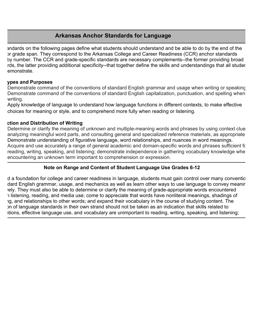## **Arkansas Anchor Standards for Language**

andards on the following pages define what students should understand and be able to do by the end of the or grade span. They correspond to the Arkansas College and Career Readiness (CCR) anchor standards by number. The CCR and grade-specific standards are necessary complements--the former providing broad rds, the latter providing additional specificity--that together define the skills and understandings that all studer emonstrate.

#### **ypes and Purposes**

Demonstrate command of the conventions of standard English grammar and usage when writing or speaking. Demonstrate command of the conventions of standard English capitalization, punctuation, and spelling when writing.

Apply knowledge of language to understand how language functions in different contexts, to make effective choices for meaning or style, and to comprehend more fully when reading or listening.

#### **Production and Distribution of Writing**

Determine or clarify the meaning of unknown and multiple-meaning words and phrases by using context clue analyzing meaningful word parts, and consulting general and specialized reference materials, as appropriate. Demonstrate understanding of figurative language, word relationships, and nuances in word meanings. Acquire and use accurately a range of general academic and domain-specific words and phrases sufficient for reading, writing, speaking, and listening; demonstrate independence in gathering vocabulary knowledge whe encountering an unknown term important to comprehension or expression.

#### **Note on Range and Content of Student Language Use Grades 6-12**

d a foundation for college and career readiness in language, students must gain control over many conventio dard English grammar, usage, and mechanics as well as learn other ways to use language to convey meanir ely. They must also be able to determine or clarify the meaning of grade-appropriate words encountered histening, reading, and media use; come to appreciate that words have nonliteral meanings, shadings of ig, and relationships to other words; and expand their vocabulary in the course of studying content. The In of language standards in their own strand should not be taken as an indication that skills related to itions, effective language use, and vocabulary are unimportant to reading, writing, speaking, and listening;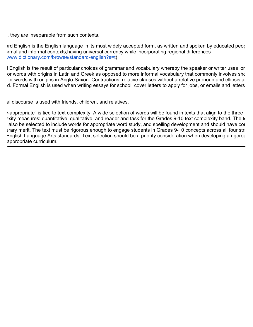, they are inseparable from such contexts.

Ind English is the English language in its most widely accepted form, as written and spoken by educated people rmal and informal contexts, having universal currency while incorporating regional differences www.dictionary.com/browse/standard-english?s=t)

I English is the result of particular choices of grammar and vocabulary whereby the speaker or writer uses lon or words with origins in Latin and Greek as opposed to more informal vocabulary that commonly involves sho or words with origins in Anglo-Saxon. Contractions, relative clauses without a relative pronoun and ellipsis ar d. Formal English is used when writing essays for school, cover letters to apply for jobs, or emails and letters

al discourse is used with friends, children, and relatives.

 $\rightarrow$  appropriate" is tied to text complexity. A wide selection of words will be found in texts that align to the three t exity measures: quantitative, qualitative, and reader and task for the Grades 9-10 text complexity band. The te also be selected to include words for appropriate word study, and spelling development and should have cor and literary merit. The text must be rigorous enough to engage students in Grades 9-10 concepts across all four stra English Language Arts standards. Text selection should be a priority consideration when developing a rigorous appropriate curriculum.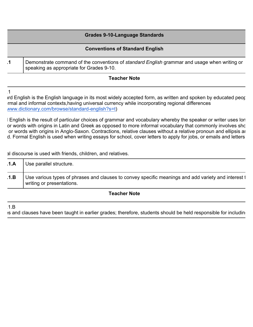|    | <b>Grades 9-10-Language Standards</b>                                                                                                           |
|----|-------------------------------------------------------------------------------------------------------------------------------------------------|
|    | <b>Conventions of Standard English</b>                                                                                                          |
| .1 | Demonstrate command of the conventions of <i>standard English</i> grammar and usage when writing or<br>speaking as appropriate for Grades 9-10. |

 $\overline{1}$ 

Ind English is the English language in its most widely accepted form, as written and spoken by educated people rmal and informal contexts,having universal currency while incorporating regional differences www.dictionary.com/browse/standard-english?s=t)

I English is the result of particular choices of grammar and vocabulary whereby the speaker or writer uses lon or words with origins in Latin and Greek as opposed to more informal vocabulary that commonly involves sho or words with origins in Anglo-Saxon. Contractions, relative clauses without a relative pronoun and ellipsis ar d. Formal English is used when writing essays for school, cover letters to apply for jobs, or emails and letters

al discourse is used with friends, children, and relatives.

| .1.A | Use parallel structure.                                                                                                          |
|------|----------------------------------------------------------------------------------------------------------------------------------|
| .1.B | Use various types of phrases and clauses to convey specific meanings and add variety and interest t<br>writing or presentations. |

**Teacher Note**

 $1.B$ 

es and clauses have been taught in earlier grades; therefore, students should be held responsible for including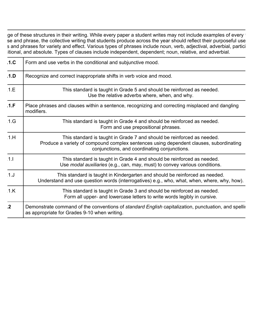ge of these structures in their writing. While every paper a student writes may not include examples of every t se and phrase, the collective writing that students produce across the year should reflect their purposeful use s and phrases for variety and effect. Various types of phrases include noun, verb, adjectival, adverbial, partici itional, and absolute. Types of clauses include independent, dependent; noun, relative, and adverbial.

| .1.C.          | Form and use verbs in the conditional and subjunctive mood.                                                                                                                                                      |
|----------------|------------------------------------------------------------------------------------------------------------------------------------------------------------------------------------------------------------------|
| .1.D           | Recognize and correct inappropriate shifts in verb voice and mood.                                                                                                                                               |
| 1.E            | This standard is taught in Grade 5 and should be reinforced as needed.<br>Use the relative adverbs where, when, and why.                                                                                         |
| .1.F           | Place phrases and clauses within a sentence, recognizing and correcting misplaced and dangling<br>modifiers.                                                                                                     |
| 1.G            | This standard is taught in Grade 4 and should be reinforced as needed.<br>Form and use prepositional phrases.                                                                                                    |
| 1.H            | This standard is taught in Grade 7 and should be reinforced as needed.<br>Produce a variety of compound complex sentences using dependent clauses, subordinating<br>conjunctions, and coordinating conjunctions. |
| 1.1            | This standard is taught in Grade 4 and should be reinforced as needed.<br>Use modal auxiliaries (e.g., can, may, must) to convey various conditions.                                                             |
| 1. J           | This standard is taught in Kindergarten and should be reinforced as needed.<br>Understand and use question words (interrogatives) e.g., who, what, when, where, why, how).                                       |
| 1.K            | This standard is taught in Grade 3 and should be reinforced as needed.<br>Form all upper- and lowercase letters to write words legibly in cursive.                                                               |
| $\overline{2}$ | Demonstrate command of the conventions of <i>standard English</i> capitalization, punctuation, and spellin<br>as appropriate for Grades 9-10 when writing.                                                       |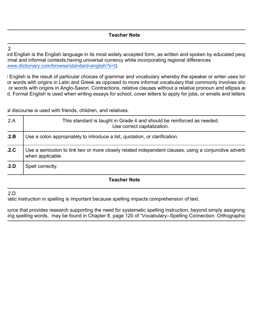L.9-10.2

Ird English is the English language in its most widely accepted form, as written and spoken by educated people rmal and informal contexts, having universal currency while incorporating regional differences www.dictionary.com/browse/standard-english?s=t)

I English is the result of particular choices of grammar and vocabulary whereby the speaker or writer uses lon or words with origins in Latin and Greek as opposed to more informal vocabulary that commonly involves sho or words with origins in Anglo-Saxon. Contractions, relative clauses without a relative pronoun and ellipsis ar d. Formal English is used when writing essays for school, cover letters to apply for jobs, or emails and letters

al discourse is used with friends, children, and relatives.

| .2.A | This standard is taught in Grade 4 and should be reinforced as needed.<br>Use correct capitalization.                   |
|------|-------------------------------------------------------------------------------------------------------------------------|
| .2.B | Use a colon appropriately to introduce a list, quotation, or clarification.                                             |
| .2.C | Use a semicolon to link two or more closely related independent clauses, using a conjunctive adverb<br>when applicable. |
| .2.D | Spell correctly.                                                                                                        |

#### **Teacher Note**

#### $2.D$

atic instruction in spelling is important because spelling impacts comprehension of text.

ource that provides research supporting the need for systematic spelling instruction, beyond simply assigning ing spelling words, may be found in Chapter 8, page 120 of "Vocabulary--Spelling Connection: Orthographic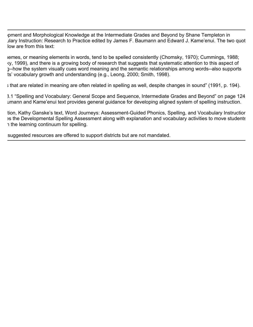pment and Morphological Knowledge at the Intermediate Grades and Beyond by Shane Templeton in Jary Instruction: Research to Practice edited by James F. Baumann and Edward J. Kame'enui. The two quot low are from this text:

emes, or meaning elements in words, tend to be spelled consistently (Chomsky, 1970); Cummings, 1988; ky, 1999), and there is a growing body of research that suggests that systematic attention to this aspect of g--how the system visually cues word meaning and the semantic relationships among words--also supports ts' vocabulary growth and understanding (e.g., Leong, 2000; Smith, 1998).

 $\frac{1}{2}$  that are related in meaning are often related in spelling as well, despite changes in sound" (1991, p. 194).

3.1 "Spelling and Vocabulary: General Scope and Sequence, Intermediate Grades and Beyond" on page 124 umann and Kame'enui text provides general guidance for developing aligned system of spelling instruction.

tion, Kathy Ganske's text, Word Journeys: Assessment-Guided Phonics, Spelling, and Vocabulary Instructior es the Developmental Spelling Assessment along with explanation and vocabulary activities to move students n the learning continuum for spelling.

suggested resources are offered to support districts but are not mandated.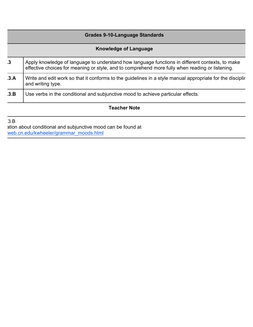|      | <b>Grades 9-10-Language Standards</b>                                                                                                                                                              |  |
|------|----------------------------------------------------------------------------------------------------------------------------------------------------------------------------------------------------|--|
|      | <b>Knowledge of Language</b>                                                                                                                                                                       |  |
| .3   | Apply knowledge of language to understand how language functions in different contexts, to make<br>effective choices for meaning or style, and to comprehend more fully when reading or listening. |  |
| .3.A | Write and edit work so that it conforms to the guidelines in a style manual appropriate for the disciplir<br>and writing type.                                                                     |  |
| .3.B | Use verbs in the conditional and subjunctive mood to achieve particular effects.                                                                                                                   |  |
|      | Teacher Note                                                                                                                                                                                       |  |

 $3.B$ ation about conditional and subjunctive mood can be found at web.cn.edu/kwheeler/grammar\_moods.html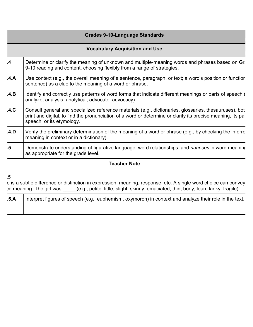| <b>Grades 9-10-Language Standards</b> |                                                                                                                                                                                                                                                      |  |
|---------------------------------------|------------------------------------------------------------------------------------------------------------------------------------------------------------------------------------------------------------------------------------------------------|--|
|                                       | <b>Vocabulary Acquisition and Use</b>                                                                                                                                                                                                                |  |
| $\mathbf{A}$                          | Determine or clarify the meaning of unknown and multiple-meaning words and phrases based on Gra-<br>9-10 reading and content, choosing flexibly from a range of strategies.                                                                          |  |
| A.A                                   | Use context (e.g., the overall meaning of a sentence, paragraph, or text; a word's position or function<br>sentence) as a clue to the meaning of a word or phrase.                                                                                   |  |
| A.B                                   | Identify and correctly use patterns of word forms that indicate different meanings or parts of speech (<br>analyze, analysis, analytical; advocate, advocacy).                                                                                       |  |
| .4.C                                  | Consult general and specialized reference materials (e.g., dictionaries, glossaries, thesauruses), both<br>print and digital, to find the pronunciation of a word or determine or clarify its precise meaning, its pare<br>speech, or its etymology. |  |
| .4.D                                  | Verify the preliminary determination of the meaning of a word or phrase (e.g., by checking the inferre<br>meaning in context or in a dictionary).                                                                                                    |  |
| .5                                    | Demonstrate understanding of figurative language, word relationships, and <i>nuances</i> in word meaning<br>as appropriate for the grade level.                                                                                                      |  |

#### L.9-10.5

e is a subtle difference or distinction in expression, meaning, response, etc. A single word choice can convey ed meaning: The girl was \_\_\_\_\_(e.g., petite, little, slight, skinny, emaciated, thin, bony, lean, lanky, fragile).

| .5.A | Interpret figures of speech (e.g., euphemism, oxymoron) in context and analyze their role in the text. |
|------|--------------------------------------------------------------------------------------------------------|
|      |                                                                                                        |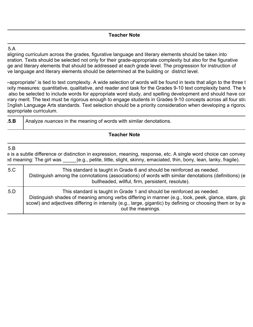#### $5.A$

aligning curriculum across the grades, figurative language and literary elements should be taken into eration. Texts should be selected not only for their grade-appropriate complexity but also for the figurative ge and literary elements that should be addressed at each grade level. The progression for instruction of ve language and literary elements should be determined at the building or district level.

 $\epsilon$ -appropriate" is tied to text complexity. A wide selection of words will be found in texts that align to the three t exity measures: quantitative, qualitative, and reader and task for the Grades 9-10 text complexity band. The te also be selected to include words for appropriate word study, and spelling development and should have cortent and literary merit. The text must be rigorous enough to engage students in Grades 9-10 concepts across all four stra English Language Arts standards. Text selection should be a priority consideration when developing a rigorous appropriate curriculum.

|  | .5.B | I Analyze nuances in the meaning of words with similar denotations. |
|--|------|---------------------------------------------------------------------|
|--|------|---------------------------------------------------------------------|

#### **Teacher Note**

#### $5.B$

e is a subtle difference or distinction in expression, meaning, response, etc. A single word choice can convey ed meaning: The girl was  $\qquad$  (e.g., petite, little, slight, skinny, emaciated, thin, bony, lean, lanky, fragile).

| 5.C | This standard is taught in Grade 6 and should be reinforced as needed.<br>Distinguish among the connotations (associations) of words with similar denotations (definitions) (e<br>bullheaded, willful, firm, persistent, resolute).                                                                             |
|-----|-----------------------------------------------------------------------------------------------------------------------------------------------------------------------------------------------------------------------------------------------------------------------------------------------------------------|
| 5.D | This standard is taught in Grade 1 and should be reinforced as needed.<br>Distinguish shades of meaning among verbs differing in manner (e.g., look, peek, glance, stare, gla<br>scowl) and adjectives differing in intensity (e.g., large, gigantic) by defining or choosing them or by a<br>out the meanings. |